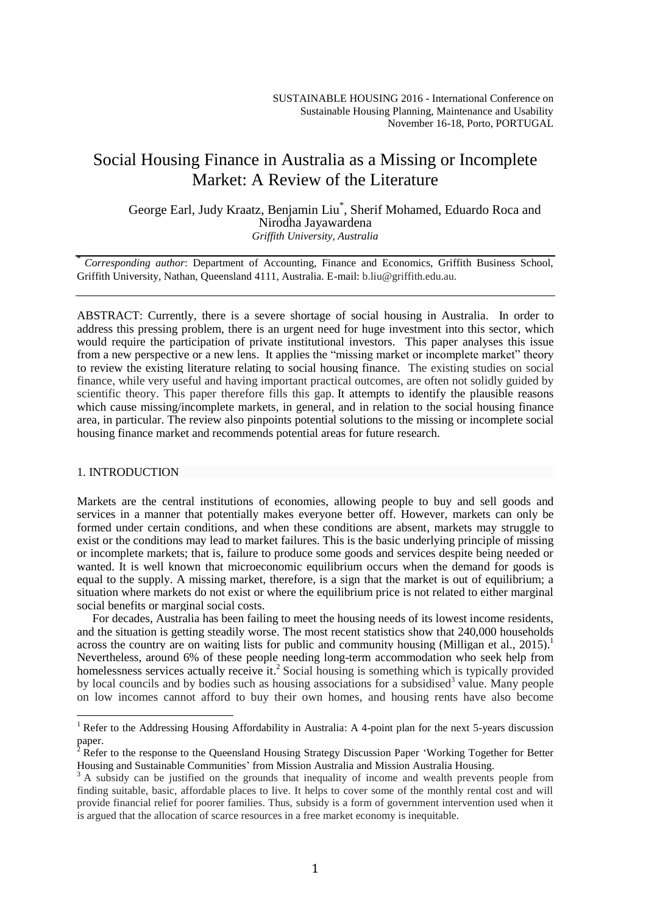# Social Housing Finance in Australia as a Missing or Incomplete Market: A Review of the Literature

George Earl, Judy Kraatz, Benjamin Liu\* , Sherif Mohamed, Eduardo Roca and Nirodha Jayawardena *Griffith University, Australia*

\* *Corresponding author*: Department of Accounting, Finance and Economics, Griffith Business School, Griffith University, Nathan, Queensland 4111, Australia. E-mail: b.liu@griffith.edu.au.

ABSTRACT: Currently, there is a severe shortage of social housing in Australia. In order to address this pressing problem, there is an urgent need for huge investment into this sector, which would require the participation of private institutional investors. This paper analyses this issue from a new perspective or a new lens. It applies the "missing market or incomplete market" theory to review the existing literature relating to social housing finance. The existing studies on social finance, while very useful and having important practical outcomes, are often not solidly guided by scientific theory. This paper therefore fills this gap. It attempts to identify the plausible reasons which cause missing/incomplete markets, in general, and in relation to the social housing finance area, in particular. The review also pinpoints potential solutions to the missing or incomplete social housing finance market and recommends potential areas for future research.

## 1. INTRODUCTION

 $\overline{a}$ 

Markets are the central institutions of economies, allowing people to buy and sell goods and services in a manner that potentially makes everyone better off. However, markets can only be formed under certain conditions, and when these conditions are absent, markets may struggle to exist or the conditions may lead to market failures. This is the basic underlying principle of missing or incomplete markets; that is, failure to produce some goods and services despite being needed or wanted. It is well known that microeconomic equilibrium occurs when the demand for goods is equal to the supply. A missing market, therefore, is a sign that the market is out of equilibrium; a situation where markets do not exist or where the equilibrium price is not related to either marginal social benefits or marginal social costs.

For decades, Australia has been failing to meet the housing needs of its lowest income residents, and the situation is getting steadily worse. The most recent statistics show that 240,000 households across the country are on waiting lists for public and community housing (Milligan et al., 2015). Nevertheless, around 6% of these people needing long-term accommodation who seek help from homelessness services actually receive it.<sup>2</sup> Social housing is something which is typically provided by local councils and by bodies such as housing associations for a subsidised<sup>3</sup> value. Many people on low incomes cannot afford to buy their own homes, and housing rents have also become

<sup>&</sup>lt;sup>1</sup> Refer to the Addressing Housing Affordability in Australia: A 4-point plan for the next 5-years discussion paper.

<sup>&</sup>lt;sup>2</sup> Refer to the response to the Queensland Housing Strategy Discussion Paper 'Working Together for Better Housing and Sustainable Communities' from Mission Australia and Mission Australia Housing.

<sup>&</sup>lt;sup>3</sup> A subsidy can be justified on the grounds that inequality of income and wealth prevents people from finding suitable, basic, affordable places to live. It helps to cover some of the monthly rental cost and will provide financial relief for poorer families. Thus, subsidy is a form of government intervention used when it is argued that the allocation of scarce resources in a free market economy is inequitable.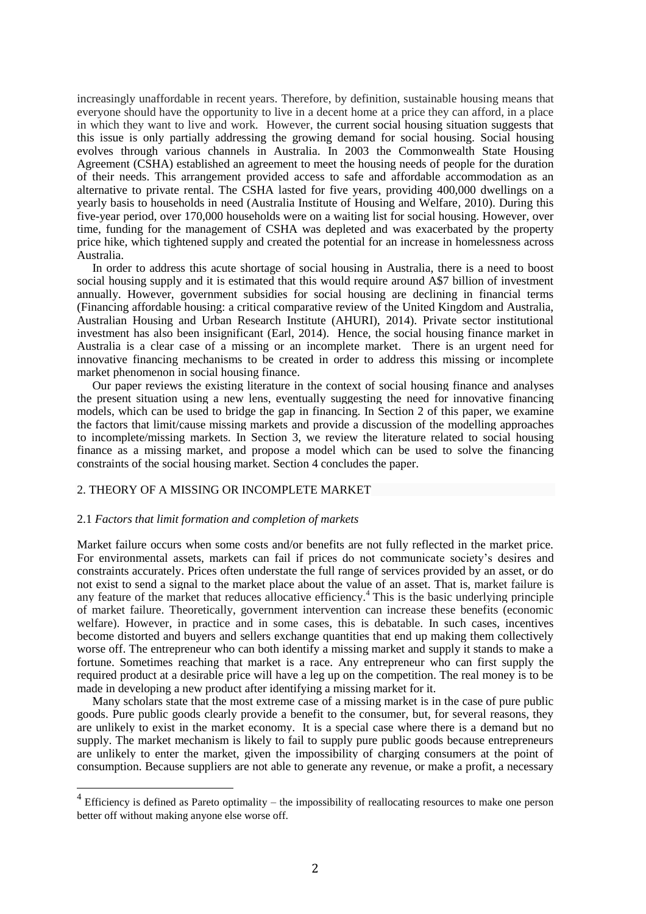increasingly unaffordable in recent years. Therefore, by definition, sustainable housing means that everyone should have the opportunity to live in a decent home at a price they can afford, in a place in which they want to live and work. However, the current social housing situation suggests that this issue is only partially addressing the growing demand for social housing. Social housing evolves through various channels in Australia. In 2003 the Commonwealth State Housing Agreement (CSHA) established an agreement to meet the housing needs of people for the duration of their needs. This arrangement provided access to safe and affordable accommodation as an alternative to private rental. The CSHA lasted for five years, providing 400,000 dwellings on a yearly basis to households in need (Australia Institute of Housing and Welfare, 2010). During this five-year period, over 170,000 households were on a waiting list for social housing. However, over time, funding for the management of CSHA was depleted and was exacerbated by the property price hike, which tightened supply and created the potential for an increase in homelessness across Australia.

In order to address this acute shortage of social housing in Australia, there is a need to boost social housing supply and it is estimated that this would require around A\$7 billion of investment annually. However, government subsidies for social housing are declining in financial terms (Financing affordable housing: a critical comparative review of the United Kingdom and Australia, Australian Housing and Urban Research Institute (AHURI), 2014). Private sector institutional investment has also been insignificant (Earl, 2014). Hence, the social housing finance market in Australia is a clear case of a missing or an incomplete market. There is an urgent need for innovative financing mechanisms to be created in order to address this missing or incomplete market phenomenon in social housing finance.

Our paper reviews the existing literature in the context of social housing finance and analyses the present situation using a new lens, eventually suggesting the need for innovative financing models, which can be used to bridge the gap in financing. In Section 2 of this paper, we examine the factors that limit/cause missing markets and provide a discussion of the modelling approaches to incomplete/missing markets. In Section 3, we review the literature related to social housing finance as a missing market, and propose a model which can be used to solve the financing constraints of the social housing market. Section 4 concludes the paper.

### 2. THEORY OF A MISSING OR INCOMPLETE MARKET

#### 2.1 *Factors that limit formation and completion of markets*

 $\overline{a}$ 

Market failure occurs when some costs and/or benefits are not fully reflected in the market price. For environmental assets, markets can fail if prices do not communicate society's desires and constraints accurately. Prices often understate the full range of services provided by an asset, or do not exist to send a signal to the market place about the value of an asset. That is, market failure is any feature of the market that reduces allocative efficiency.<sup>4</sup> This is the basic underlying principle of market failure. Theoretically, government intervention can increase these benefits (economic welfare). However, in practice and in some cases, this is debatable. In such cases, incentives become distorted and buyers and sellers exchange quantities that end up making them collectively worse off. The entrepreneur who can both identify a missing market and supply it stands to make a fortune. Sometimes reaching that market is a race. Any entrepreneur who can first supply the required product at a desirable price will have a leg up on the competition. The real money is to be made in developing a new product after identifying a missing market for it.

Many scholars state that the most extreme case of a missing market is in the case of pure public goods. Pure public goods clearly provide a benefit to the consumer, but, for several reasons, they are unlikely to exist in the market economy. It is a special case where there is a demand but no supply. The market mechanism is likely to fail to supply pure public goods because entrepreneurs are unlikely to enter the market, given the impossibility of charging consumers at the point of consumption. Because suppliers are not able to generate any revenue, or make a profit, a necessary

 $4$  Efficiency is defined as Pareto optimality – the impossibility of reallocating resources to make one person better off without making anyone else worse off.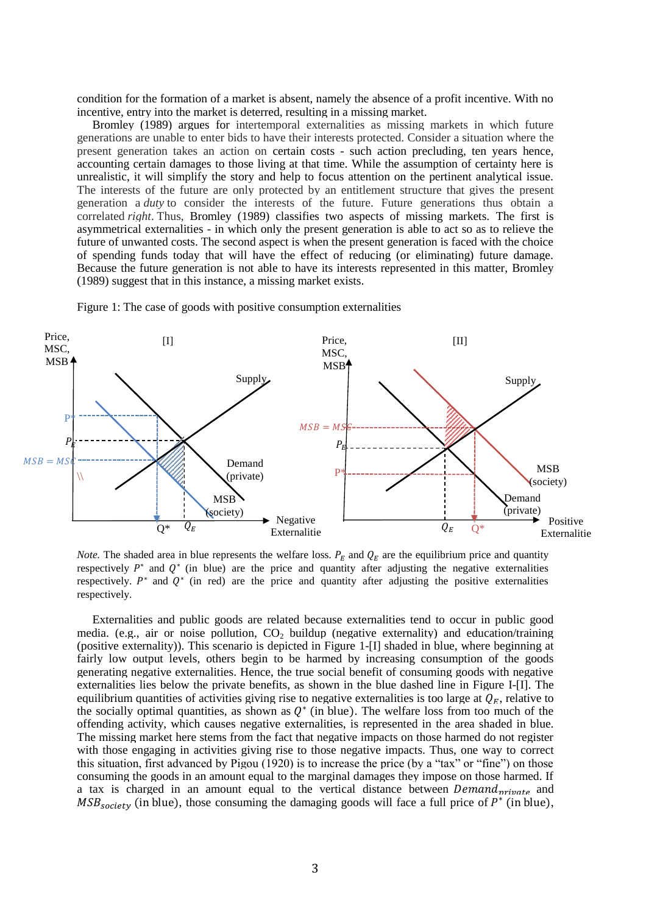condition for the formation of a market is absent, namely the absence of a profit incentive. With no incentive, entry into the market is deterred, resulting in a missing market.

Bromley (1989) argues for intertemporal externalities as missing markets in which future generations are unable to enter bids to have their interests protected. Consider a situation where the present generation takes an action on certain costs - such action precluding, ten years hence, accounting certain damages to those living at that time. While the assumption of certainty here is unrealistic, it will simplify the story and help to focus attention on the pertinent analytical issue. The interests of the future are only protected by an entitlement structure that gives the present generation a *duty* to consider the interests of the future. Future generations thus obtain a correlated *right*. Thus, Bromley (1989) classifies two aspects of missing markets. The first is asymmetrical externalities - in which only the present generation is able to act so as to relieve the future of unwanted costs. The second aspect is when the present generation is faced with the choice of spending funds today that will have the effect of reducing (or eliminating) future damage. Because the future generation is not able to have its interests represented in this matter, Bromley (1989) suggest that in this instance, a missing market exists.





*Note.* The shaded area in blue represents the welfare loss.  $P_E$  and  $Q_E$  are the equilibrium price and quantity respectively  $P^*$  and  $Q^*$  (in blue) are the price and quantity after adjusting the negative externalities respectively.  $P^*$  and  $Q^*$  (in red) are the price and quantity after adjusting the positive externalities respectively.

Externalities and public goods are related because externalities tend to occur in public good media. (e.g., air or noise pollution,  $CO<sub>2</sub>$  buildup (negative externality) and education/training (positive externality)). This scenario is depicted in Figure 1-[I] shaded in blue, where beginning at fairly low output levels, others begin to be harmed by increasing consumption of the goods generating negative externalities. Hence, the true social benefit of consuming goods with negative externalities lies below the private benefits, as shown in the blue dashed line in Figure I-[I]. The equilibrium quantities of activities giving rise to negative externalities is too large at  $Q_F$ , relative to the socially optimal quantities, as shown as  $Q^*$  (in blue). The welfare loss from too much of the offending activity, which causes negative externalities, is represented in the area shaded in blue. The missing market here stems from the fact that negative impacts on those harmed do not register with those engaging in activities giving rise to those negative impacts. Thus, one way to correct this situation, first advanced by Pigou (1920) is to increase the price (by a "tax" or "fine") on those consuming the goods in an amount equal to the marginal damages they impose on those harmed. If a tax is charged in an amount equal to the vertical distance between  $Demand_{nriwate}$  and  $MSB_{society}$  (in blue), those consuming the damaging goods will face a full price of  $P^*$  (in blue),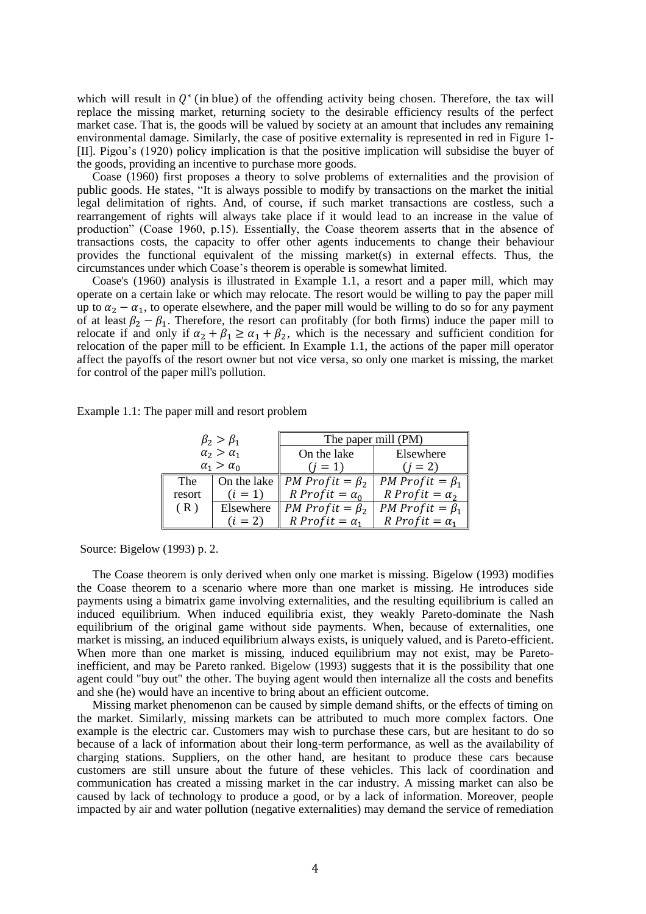which will result in  $Q^*$  (in blue) of the offending activity being chosen. Therefore, the tax will replace the missing market, returning society to the desirable efficiency results of the perfect market case. That is, the goods will be valued by society at an amount that includes any remaining environmental damage. Similarly, the case of positive externality is represented in red in Figure 1- [II]. Pigou's (1920) policy implication is that the positive implication will subsidise the buyer of the goods, providing an incentive to purchase more goods.

Coase (1960) first proposes a theory to solve problems of externalities and the provision of public goods. He states, "It is always possible to modify by transactions on the market the initial legal delimitation of rights. And, of course, if such market transactions are costless, such a rearrangement of rights will always take place if it would lead to an increase in the value of production" (Coase 1960, p.15). Essentially, the Coase theorem asserts that in the absence of transactions costs, the capacity to offer other agents inducements to change their behaviour provides the functional equivalent of the missing market(s) in external effects. Thus, the circumstances under which Coase's theorem is operable is somewhat limited.

Coase's (1960) analysis is illustrated in Example 1.1, a resort and a paper mill, which may operate on a certain lake or which may relocate. The resort would be willing to pay the paper mill up to  $\alpha_2 - \alpha_1$ , to operate elsewhere, and the paper mill would be willing to do so for any payment of at least  $\beta_2 - \beta_1$ . Therefore, the resort can profitably (for both firms) induce the paper mill to relocate if and only if  $\alpha_2 + \beta_1 \ge \alpha_1 + \beta_2$ , which is the necessary and sufficient condition for relocation of the paper mill to be efficient. In Example 1.1, the actions of the paper mill operator affect the payoffs of the resort owner but not vice versa, so only one market is missing, the market for control of the paper mill's pollution.

| $\beta_2 > \beta_1$   |             | The paper mill (PM)          |                       |
|-----------------------|-------------|------------------------------|-----------------------|
| $\alpha_2 > \alpha_1$ |             | On the lake                  | Elsewhere             |
| $\alpha_1 > \alpha_0$ |             | $(i = 1)$                    | $(i = 2)$             |
| The                   | On the lake | <i>PM Profit</i> = $\beta_2$ | PM Profit = $\beta_1$ |
| resort                | $(i = 1)$   | R Profit = $\alpha_0$        | R Profit = $\alpha_2$ |
| (R)                   | Elsewhere   | PM Profit = $\beta_2$        | PM Profit = $\beta_1$ |
|                       | $(i = 2)$   | R Profit = $\alpha_1$        | R Profit = $\alpha_1$ |

Source: Bigelow (1993) p. 2.

The Coase theorem is only derived when only one market is missing. Bigelow (1993) modifies the Coase theorem to a scenario where more than one market is missing. He introduces side payments using a bimatrix game involving externalities, and the resulting equilibrium is called an induced equilibrium. When induced equilibria exist, they weakly Pareto-dominate the Nash equilibrium of the original game without side payments. When, because of externalities, one market is missing, an induced equilibrium always exists, is uniquely valued, and is Pareto-efficient. When more than one market is missing, induced equilibrium may not exist, may be Paretoinefficient, and may be Pareto ranked. Bigelow (1993) suggests that it is the possibility that one agent could "buy out" the other. The buying agent would then internalize all the costs and benefits and she (he) would have an incentive to bring about an efficient outcome.

Missing market phenomenon can be caused by simple demand shifts, or the effects of timing on the market. Similarly, missing markets can be attributed to much more complex factors. One example is the electric car. Customers may wish to purchase these cars, but are hesitant to do so because of a lack of information about their long-term performance, as well as the availability of charging stations. Suppliers, on the other hand, are hesitant to produce these cars because customers are still unsure about the future of these vehicles. This lack of coordination and communication has created a missing market in the car industry. A missing market can also be caused by lack of technology to produce a good, or by a lack of information. Moreover, people impacted by air and water pollution (negative externalities) may demand the service of remediation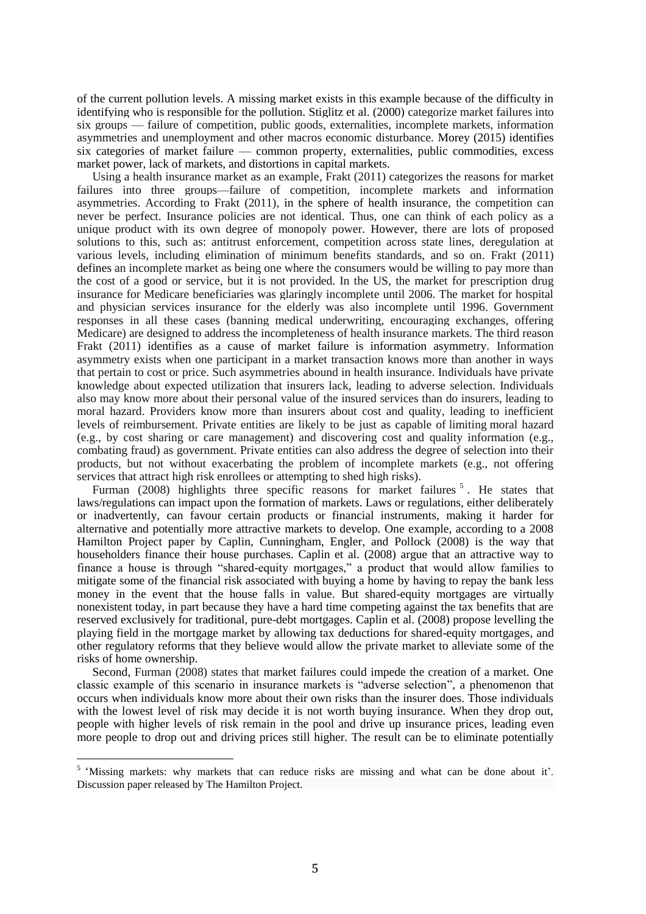of the current pollution levels. A missing market exists in this example because of the difficulty in identifying who is responsible for the pollution. Stiglitz et al. (2000) categorize market failures into six groups — failure of competition, public goods, externalities, incomplete markets, information asymmetries and unemployment and other macros economic disturbance. Morey (2015) identifies six categories of market failure — common property, externalities, public commodities, excess market power, lack of markets, and distortions in capital markets.

Using a health insurance market as an example, Frakt (2011) categorizes the reasons for market failures into three groups—failure of competition, incomplete markets and information asymmetries. According to Frakt (2011), in the sphere of health insurance, the competition can never be perfect. Insurance policies are not identical. Thus, one can think of each policy as a unique product with its own degree of monopoly power. However, there are lots of proposed solutions to this, such as: antitrust enforcement, competition across state lines, deregulation at various levels, including elimination of minimum benefits standards, and so on. Frakt (2011) defines an incomplete market as being one where the consumers would be willing to pay more than the cost of a good or service, but it is not provided. In the US, the market for prescription drug insurance for Medicare beneficiaries was glaringly incomplete until 2006. The market for hospital and physician services insurance for the elderly was also incomplete until 1996. Government responses in all these cases (banning medical underwriting, encouraging exchanges, offering Medicare) are designed to address the incompleteness of health insurance markets. The third reason Frakt (2011) identifies as a cause of market failure is information asymmetry. Information asymmetry exists when one participant in a market transaction knows more than another in ways that pertain to cost or price. Such asymmetries abound in health insurance. Individuals have private knowledge about expected utilization that insurers lack, leading to adverse selection. Individuals also may know more about their personal value of the insured services than do insurers, leading to moral hazard. Providers know more than insurers about cost and quality, leading to inefficient levels of reimbursement. Private entities are likely to be just as capable of limiting moral hazard (e.g., by cost sharing or care management) and discovering cost and quality information (e.g., combating fraud) as government. Private entities can also address the degree of selection into their products, but not without exacerbating the problem of incomplete markets (e.g., not offering services that attract high risk enrollees or attempting to shed high risks).

Furman (2008) highlights three specific reasons for market failures<sup>5</sup>. He states that laws/regulations can impact upon the formation of markets. Laws or regulations, either deliberately or inadvertently, can favour certain products or financial instruments, making it harder for alternative and potentially more attractive markets to develop. One example, according to a 2008 Hamilton Project paper by Caplin, Cunningham, Engler, and Pollock (2008) is the way that householders finance their house purchases. Caplin et al. (2008) argue that an attractive way to finance a house is through "shared-equity mortgages," a product that would allow families to mitigate some of the financial risk associated with buying a home by having to repay the bank less money in the event that the house falls in value. But shared-equity mortgages are virtually nonexistent today, in part because they have a hard time competing against the tax benefits that are reserved exclusively for traditional, pure-debt mortgages. Caplin et al. (2008) propose levelling the playing field in the mortgage market by allowing tax deductions for shared-equity mortgages, and other regulatory reforms that they believe would allow the private market to alleviate some of the risks of home ownership.

Second, Furman (2008) states that market failures could impede the creation of a market. One classic example of this scenario in insurance markets is "adverse selection", a phenomenon that occurs when individuals know more about their own risks than the insurer does. Those individuals with the lowest level of risk may decide it is not worth buying insurance. When they drop out, people with higher levels of risk remain in the pool and drive up insurance prices, leading even more people to drop out and driving prices still higher. The result can be to eliminate potentially

 $\overline{a}$ 

<sup>&</sup>lt;sup>5</sup> 'Missing markets: why markets that can reduce risks are missing and what can be done about it'. Discussion paper released by The Hamilton Project.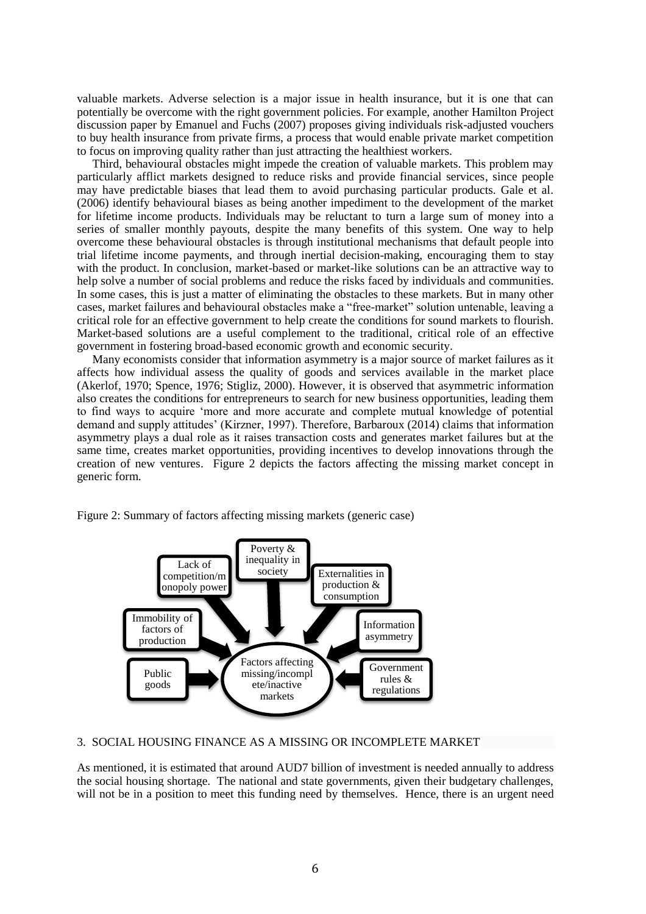valuable markets. Adverse selection is a major issue in health insurance, but it is one that can potentially be overcome with the right government policies. For example, another Hamilton Project discussion paper by Emanuel and Fuchs (2007) proposes giving individuals risk-adjusted vouchers to buy health insurance from private firms, a process that would enable private market competition to focus on improving quality rather than just attracting the healthiest workers.

Third, behavioural obstacles might impede the creation of valuable markets. This problem may particularly afflict markets designed to reduce risks and provide financial services, since people may have predictable biases that lead them to avoid purchasing particular products. Gale et al. (2006) identify behavioural biases as being another impediment to the development of the market for lifetime income products. Individuals may be reluctant to turn a large sum of money into a series of smaller monthly payouts, despite the many benefits of this system. One way to help overcome these behavioural obstacles is through institutional mechanisms that default people into trial lifetime income payments, and through inertial decision-making, encouraging them to stay with the product. In conclusion, market-based or market-like solutions can be an attractive way to help solve a number of social problems and reduce the risks faced by individuals and communities. In some cases, this is just a matter of eliminating the obstacles to these markets. But in many other cases, market failures and behavioural obstacles make a "free-market" solution untenable, leaving a critical role for an effective government to help create the conditions for sound markets to flourish. Market-based solutions are a useful complement to the traditional, critical role of an effective government in fostering broad-based economic growth and economic security.

Many economists consider that information asymmetry is a major source of market failures as it affects how individual assess the quality of goods and services available in the market place (Akerlof, 1970; Spence, 1976; Stigliz, 2000). However, it is observed that asymmetric information also creates the conditions for entrepreneurs to search for new business opportunities, leading them to find ways to acquire 'more and more accurate and complete mutual knowledge of potential demand and supply attitudes' (Kirzner, 1997). Therefore, Barbaroux (2014) claims that information asymmetry plays a dual role as it raises transaction costs and generates market failures but at the same time, creates market opportunities, providing incentives to develop innovations through the creation of new ventures. Figure 2 depicts the factors affecting the missing market concept in generic form.





# 3. SOCIAL HOUSING FINANCE AS A MISSING OR INCOMPLETE MARKET

As mentioned, it is estimated that around AUD7 billion of investment is needed annually to address the social housing shortage. The national and state governments, given their budgetary challenges, will not be in a position to meet this funding need by themselves. Hence, there is an urgent need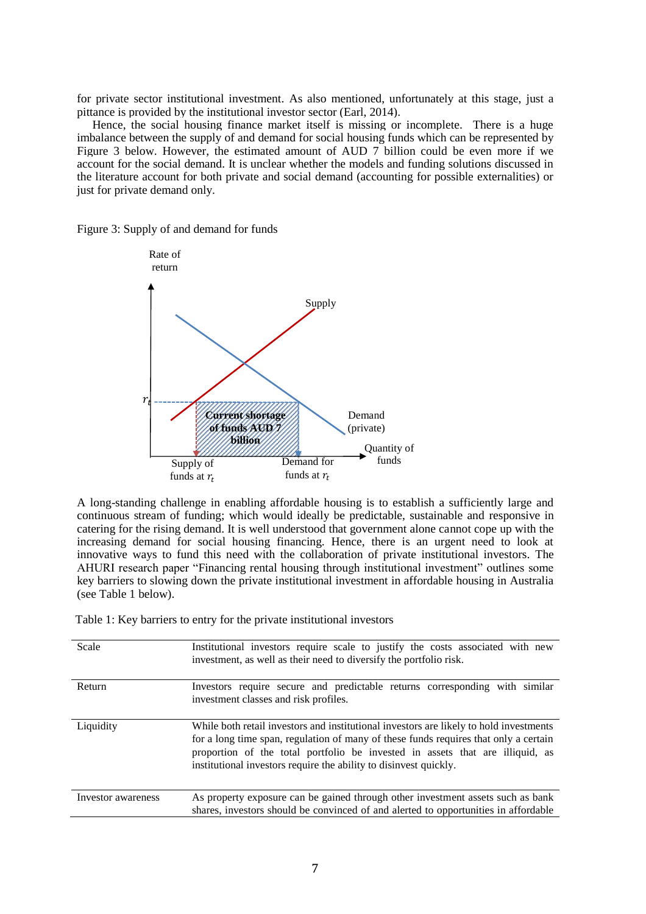for private sector institutional investment. As also mentioned, unfortunately at this stage, just a pittance is provided by the institutional investor sector (Earl, 2014).

Hence, the social housing finance market itself is missing or incomplete. There is a huge imbalance between the supply of and demand for social housing funds which can be represented by Figure 3 below. However, the estimated amount of AUD 7 billion could be even more if we account for the social demand. It is unclear whether the models and funding solutions discussed in the literature account for both private and social demand (accounting for possible externalities) or just for private demand only.

Figure 3: Supply of and demand for funds



A long-standing challenge in enabling affordable housing is to establish a sufficiently large and continuous stream of funding; which would ideally be predictable, sustainable and responsive in catering for the rising demand. It is well understood that government alone cannot cope up with the increasing demand for social housing financing. Hence, there is an urgent need to look at innovative ways to fund this need with the collaboration of private institutional investors. The AHURI research paper "Financing rental housing through institutional investment" outlines some key barriers to slowing down the private institutional investment in affordable housing in Australia (see Table 1 below).

Table 1: Key barriers to entry for the private institutional investors

| Scale              | Institutional investors require scale to justify the costs associated with new<br>investment, as well as their need to diversify the portfolio risk.                                                                                                                                                                                 |
|--------------------|--------------------------------------------------------------------------------------------------------------------------------------------------------------------------------------------------------------------------------------------------------------------------------------------------------------------------------------|
| Return             | Investors require secure and predictable returns corresponding with similar<br>investment classes and risk profiles.                                                                                                                                                                                                                 |
| Liquidity          | While both retail investors and institutional investors are likely to hold investments<br>for a long time span, regulation of many of these funds requires that only a certain<br>proportion of the total portfolio be invested in assets that are illiquid, as<br>institutional investors require the ability to disinvest quickly. |
| Investor awareness | As property exposure can be gained through other investment assets such as bank<br>shares, investors should be convinced of and alerted to opportunities in affordable                                                                                                                                                               |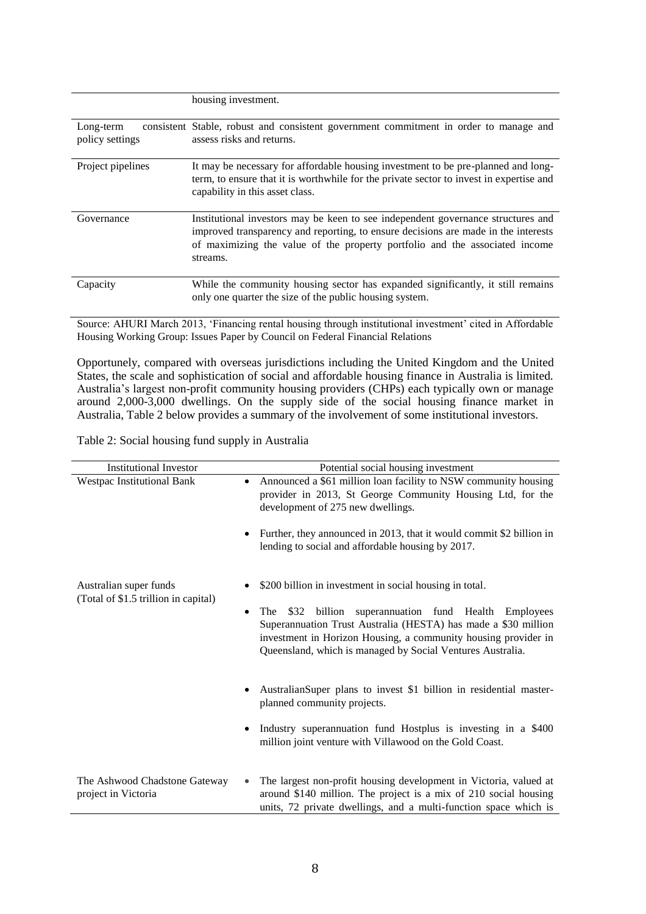|                              | housing investment.                                                                                                                                                                                                                                               |  |
|------------------------------|-------------------------------------------------------------------------------------------------------------------------------------------------------------------------------------------------------------------------------------------------------------------|--|
| Long-term<br>policy settings | consistent Stable, robust and consistent government commitment in order to manage and<br>assess risks and returns.                                                                                                                                                |  |
| Project pipelines            | It may be necessary for affordable housing investment to be pre-planned and long-<br>term, to ensure that it is worthwhile for the private sector to invest in expertise and<br>capability in this asset class.                                                   |  |
| Governance                   | Institutional investors may be keen to see independent governance structures and<br>improved transparency and reporting, to ensure decisions are made in the interests<br>of maximizing the value of the property portfolio and the associated income<br>streams. |  |
| Capacity                     | While the community housing sector has expanded significantly, it still remains<br>only one quarter the size of the public housing system.                                                                                                                        |  |

Source: AHURI March 2013, 'Financing rental housing through institutional investment' cited in Affordable Housing Working Group: Issues Paper by Council on Federal Financial Relations

Opportunely, compared with overseas jurisdictions including the United Kingdom and the United States, the scale and sophistication of social and affordable housing finance in Australia is limited. Australia's largest non-profit community housing providers (CHPs) each typically own or manage around 2,000-3,000 dwellings. On the supply side of the social housing finance market in Australia, Table 2 below provides a summary of the involvement of some institutional investors.

Table 2: Social housing fund supply in Australia

| <b>Institutional Investor</b>                        | Potential social housing investment                                                                                                                                                                                                                              |
|------------------------------------------------------|------------------------------------------------------------------------------------------------------------------------------------------------------------------------------------------------------------------------------------------------------------------|
| Westpac Institutional Bank<br>٠                      | Announced a \$61 million loan facility to NSW community housing<br>provider in 2013, St George Community Housing Ltd, for the<br>development of 275 new dwellings.                                                                                               |
| ٠                                                    | Further, they announced in 2013, that it would commit \$2 billion in<br>lending to social and affordable housing by 2017.                                                                                                                                        |
| Australian super funds                               | \$200 billion in investment in social housing in total.                                                                                                                                                                                                          |
| (Total of \$1.5 trillion in capital)<br>٠            | \$32<br>superannuation fund Health Employees<br>The<br>billion<br>Superannuation Trust Australia (HESTA) has made a \$30 million<br>investment in Horizon Housing, a community housing provider in<br>Queensland, which is managed by Social Ventures Australia. |
| $\bullet$                                            | AustralianSuper plans to invest \$1 billion in residential master-<br>planned community projects.                                                                                                                                                                |
| $\bullet$                                            | Industry superannuation fund Hostplus is investing in a \$400<br>million joint venture with Villawood on the Gold Coast.                                                                                                                                         |
| The Ashwood Chadstone Gateway<br>project in Victoria | The largest non-profit housing development in Victoria, valued at<br>around \$140 million. The project is a mix of 210 social housing<br>units, 72 private dwellings, and a multi-function space which is                                                        |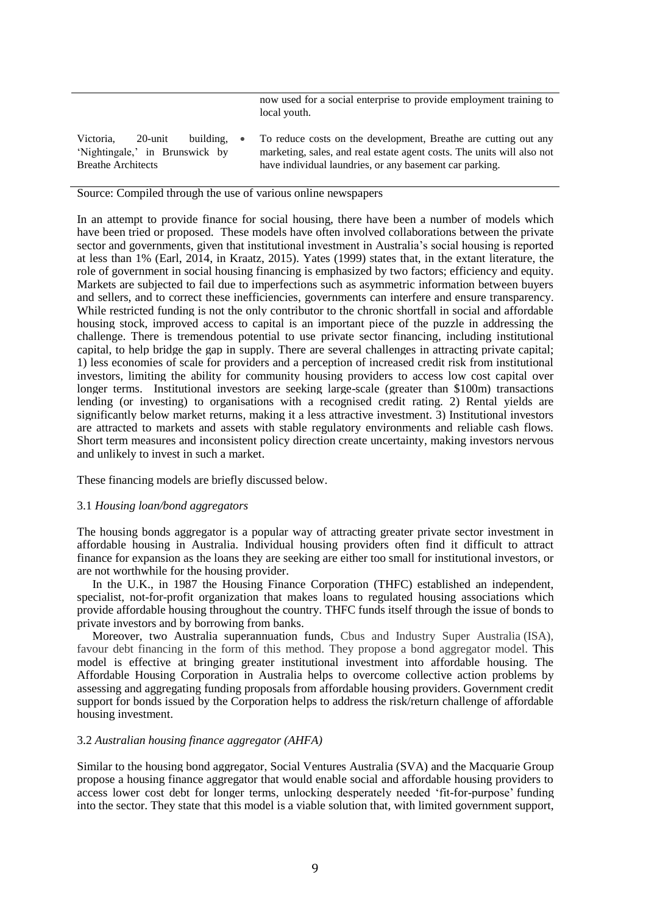now used for a social enterprise to provide employment training to local youth.

| Victoria.                      | 20-unit |  | building. • To reduce costs on the development, Breathe are cutting out any |
|--------------------------------|---------|--|-----------------------------------------------------------------------------|
| 'Nightingale,' in Brunswick by |         |  | marketing, sales, and real estate agent costs. The units will also not      |
| <b>Breathe Architects</b>      |         |  | have individual laundries, or any basement car parking.                     |

## Source: Compiled through the use of various online newspapers

In an attempt to provide finance for social housing, there have been a number of models which have been tried or proposed. These models have often involved collaborations between the private sector and governments, given that institutional investment in Australia's social housing is reported at less than 1% (Earl, 2014, in Kraatz, 2015). Yates (1999) states that, in the extant literature, the role of government in social housing financing is emphasized by two factors; efficiency and equity. Markets are subjected to fail due to imperfections such as asymmetric information between buyers and sellers, and to correct these inefficiencies, governments can interfere and ensure transparency. While restricted funding is not the only contributor to the chronic shortfall in social and affordable housing stock, improved access to capital is an important piece of the puzzle in addressing the challenge. There is tremendous potential to use private sector financing, including institutional capital, to help bridge the gap in supply. There are several challenges in attracting private capital; 1) less economies of scale for providers and a perception of increased credit risk from institutional investors, limiting the ability for community housing providers to access low cost capital over longer terms. Institutional investors are seeking large-scale (greater than \$100m) transactions lending (or investing) to organisations with a recognised credit rating. 2) Rental yields are significantly below market returns, making it a less attractive investment. 3) Institutional investors are attracted to markets and assets with stable regulatory environments and reliable cash flows. Short term measures and inconsistent policy direction create uncertainty, making investors nervous and unlikely to invest in such a market.

These financing models are briefly discussed below.

## 3.1 *Housing loan/bond aggregators*

The housing bonds aggregator is a popular way of attracting greater private sector investment in affordable housing in Australia. Individual housing providers often find it difficult to attract finance for expansion as the loans they are seeking are either too small for institutional investors, or are not worthwhile for the housing provider.

In the U.K., in 1987 the Housing Finance Corporation (THFC) established an independent, specialist, not-for-profit organization that makes loans to regulated housing associations which provide affordable housing throughout the country. THFC funds itself through the issue of bonds to private investors and by borrowing from banks.

Moreover, two Australia superannuation funds, Cbus and Industry Super Australia (ISA), favour debt financing in the form of this method. They propose a bond aggregator model. This model is effective at bringing greater institutional investment into affordable housing. The Affordable Housing Corporation in Australia helps to overcome collective action problems by assessing and aggregating funding proposals from affordable housing providers. Government credit support for bonds issued by the Corporation helps to address the risk/return challenge of affordable housing investment.

# 3.2 *Australian housing finance aggregator (AHFA)*

Similar to the housing bond aggregator, Social Ventures Australia (SVA) and the Macquarie Group propose a housing finance aggregator that would enable social and affordable housing providers to access lower cost debt for longer terms, unlocking desperately needed 'fit-for-purpose' funding into the sector. They state that this model is a viable solution that, with limited government support,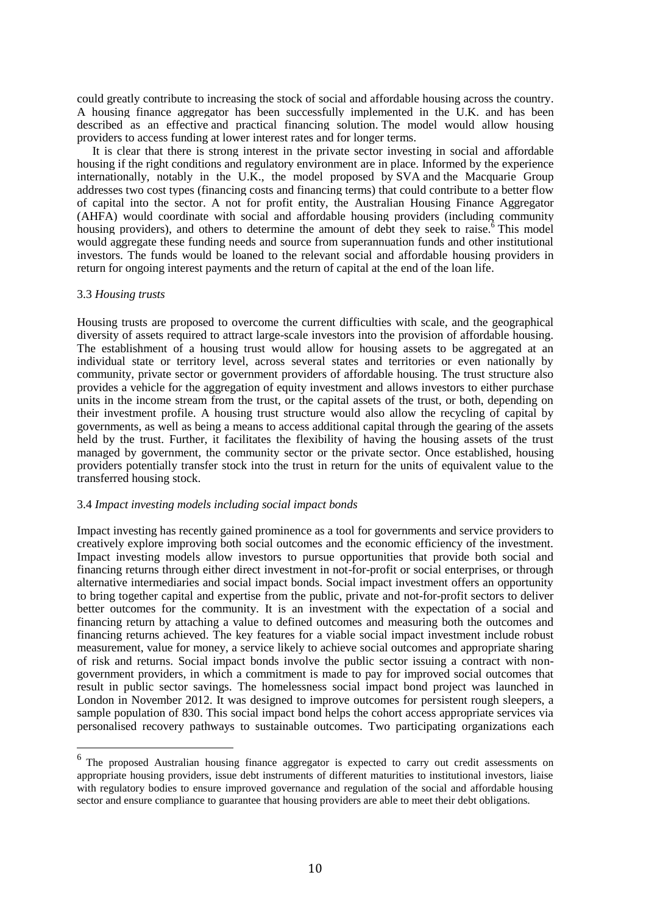could greatly contribute to increasing the stock of social and affordable housing across the country. A housing finance aggregator has been successfully implemented in the U.K. and has been described as an effective and practical financing solution. The model would allow housing providers to access funding at lower interest rates and for longer terms.

It is clear that there is strong interest in the private sector investing in social and affordable housing if the right conditions and regulatory environment are in place. Informed by the experience internationally, notably in the U.K., the model proposed by SVA and the Macquarie Group addresses two cost types (financing costs and financing terms) that could contribute to a better flow of capital into the sector. A not for profit entity, the Australian Housing Finance Aggregator (AHFA) would coordinate with social and affordable housing providers (including community housing providers), and others to determine the amount of debt they seek to raise.<sup>6</sup> This model would aggregate these funding needs and source from superannuation funds and other institutional investors. The funds would be loaned to the relevant social and affordable housing providers in return for ongoing interest payments and the return of capital at the end of the loan life.

## 3.3 *Housing trusts*

 $\overline{a}$ 

Housing trusts are proposed to overcome the current difficulties with scale, and the geographical diversity of assets required to attract large-scale investors into the provision of affordable housing. The establishment of a housing trust would allow for housing assets to be aggregated at an individual state or territory level, across several states and territories or even nationally by community, private sector or government providers of affordable housing. The trust structure also provides a vehicle for the aggregation of equity investment and allows investors to either purchase units in the income stream from the trust, or the capital assets of the trust, or both, depending on their investment profile. A housing trust structure would also allow the recycling of capital by governments, as well as being a means to access additional capital through the gearing of the assets held by the trust. Further, it facilitates the flexibility of having the housing assets of the trust managed by government, the community sector or the private sector. Once established, housing providers potentially transfer stock into the trust in return for the units of equivalent value to the transferred housing stock.

#### 3.4 *Impact investing models including social impact bonds*

Impact investing has recently gained prominence as a tool for governments and service providers to creatively explore improving both social outcomes and the economic efficiency of the investment. Impact investing models allow investors to pursue opportunities that provide both social and financing returns through either direct investment in not-for-profit or social enterprises, or through alternative intermediaries and social impact bonds. Social impact investment offers an opportunity to bring together capital and expertise from the public, private and not-for-profit sectors to deliver better outcomes for the community. It is an investment with the expectation of a social and financing return by attaching a value to defined outcomes and measuring both the outcomes and financing returns achieved. The key features for a viable social impact investment include robust measurement, value for money, a service likely to achieve social outcomes and appropriate sharing of risk and returns. Social impact bonds involve the public sector issuing a contract with nongovernment providers, in which a commitment is made to pay for improved social outcomes that result in public sector savings. The homelessness social impact bond project was launched in London in November 2012. It was designed to improve outcomes for persistent rough sleepers, a sample population of 830. This social impact bond helps the cohort access appropriate services via personalised recovery pathways to sustainable outcomes. Two participating organizations each

<sup>&</sup>lt;sup>6</sup> The proposed Australian housing finance aggregator is expected to carry out credit assessments on appropriate housing providers, issue debt instruments of different maturities to institutional investors, liaise with regulatory bodies to ensure improved governance and regulation of the social and affordable housing sector and ensure compliance to guarantee that housing providers are able to meet their debt obligations.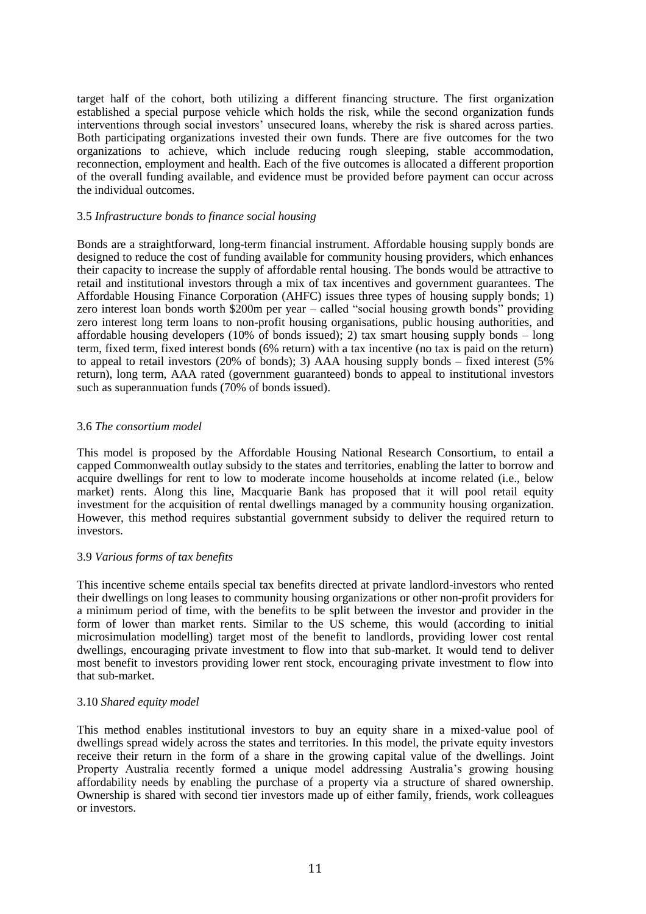target half of the cohort, both utilizing a different financing structure. The first organization established a special purpose vehicle which holds the risk, while the second organization funds interventions through social investors' unsecured loans, whereby the risk is shared across parties. Both participating organizations invested their own funds. There are five outcomes for the two organizations to achieve, which include reducing rough sleeping, stable accommodation, reconnection, employment and health. Each of the five outcomes is allocated a different proportion of the overall funding available, and evidence must be provided before payment can occur across the individual outcomes.

# 3.5 *Infrastructure bonds to finance social housing*

Bonds are a straightforward, long-term financial instrument. Affordable housing supply bonds are designed to reduce the cost of funding available for community housing providers, which enhances their capacity to increase the supply of affordable rental housing. The bonds would be attractive to retail and institutional investors through a mix of tax incentives and government guarantees. The Affordable Housing Finance Corporation (AHFC) issues three types of housing supply bonds; 1) zero interest loan bonds worth \$200m per year – called "social housing growth bonds" providing zero interest long term loans to non-profit housing organisations, public housing authorities, and affordable housing developers (10% of bonds issued); 2) tax smart housing supply bonds – long term, fixed term, fixed interest bonds (6% return) with a tax incentive (no tax is paid on the return) to appeal to retail investors (20% of bonds); 3) AAA housing supply bonds – fixed interest (5% return), long term, AAA rated (government guaranteed) bonds to appeal to institutional investors such as superannuation funds (70% of bonds issued).

# 3.6 *The consortium model*

This model is proposed by the Affordable Housing National Research Consortium, to entail a capped Commonwealth outlay subsidy to the states and territories, enabling the latter to borrow and acquire dwellings for rent to low to moderate income households at income related (i.e., below market) rents. Along this line, Macquarie Bank has proposed that it will pool retail equity investment for the acquisition of rental dwellings managed by a community housing organization. However, this method requires substantial government subsidy to deliver the required return to investors.

# 3.9 *Various forms of tax benefits*

This incentive scheme entails special tax benefits directed at private landlord-investors who rented their dwellings on long leases to community housing organizations or other non-profit providers for a minimum period of time, with the benefits to be split between the investor and provider in the form of lower than market rents. Similar to the US scheme, this would (according to initial microsimulation modelling) target most of the benefit to landlords, providing lower cost rental dwellings, encouraging private investment to flow into that sub-market. It would tend to deliver most benefit to investors providing lower rent stock, encouraging private investment to flow into that sub-market.

# 3.10 *Shared equity model*

This method enables institutional investors to buy an equity share in a mixed-value pool of dwellings spread widely across the states and territories. In this model, the private equity investors receive their return in the form of a share in the growing capital value of the dwellings. Joint Property Australia recently formed a unique model addressing Australia's growing housing affordability needs by enabling the purchase of a property via a structure of shared ownership. Ownership is shared with second tier investors made up of either family, friends, work colleagues or investors.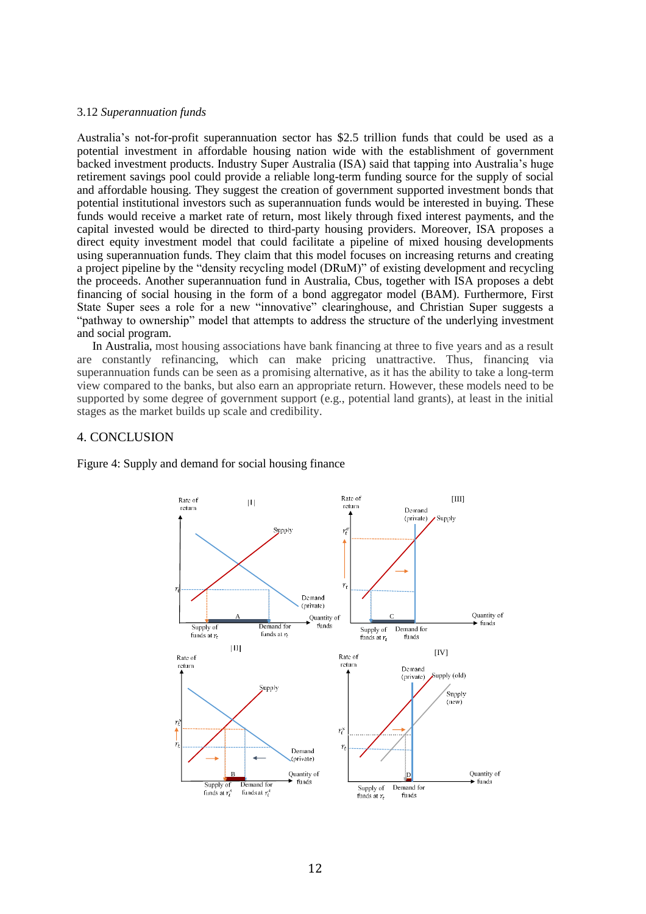## 3.12 *Superannuation funds*

Australia's not-for-profit superannuation sector has \$2.5 trillion funds that could be used as a potential investment in affordable housing nation wide with the establishment of government backed investment products. Industry Super Australia (ISA) said that tapping into Australia's huge retirement savings pool could provide a reliable long-term funding source for the supply of social and affordable housing. They suggest the creation of government supported investment bonds that potential institutional investors such as superannuation funds would be interested in buying. These funds would receive a market rate of return, most likely through fixed interest payments, and the capital invested would be directed to third-party housing providers. Moreover, ISA proposes a direct equity investment model that could facilitate a pipeline of mixed housing developments using superannuation funds. They claim that this model focuses on increasing returns and creating a project pipeline by the "density recycling model (DRuM)" of existing development and recycling the proceeds. Another superannuation fund in Australia, Cbus, together with ISA proposes a debt financing of social housing in the form of a bond aggregator model (BAM). Furthermore, First State Super sees a role for a new "innovative" clearinghouse, and Christian Super suggests a "pathway to ownership" model that attempts to address the structure of the underlying investment and social program.

In Australia, most housing associations have bank financing at three to five years and as a result are constantly refinancing, which can make pricing unattractive. Thus, financing via superannuation funds can be seen as a promising alternative, as it has the ability to take a long-term view compared to the banks, but also earn an appropriate return. However, these models need to be supported by some degree of government support (e.g., potential land grants), at least in the initial stages as the market builds up scale and credibility.

# 4. CONCLUSION



Figure 4: Supply and demand for social housing finance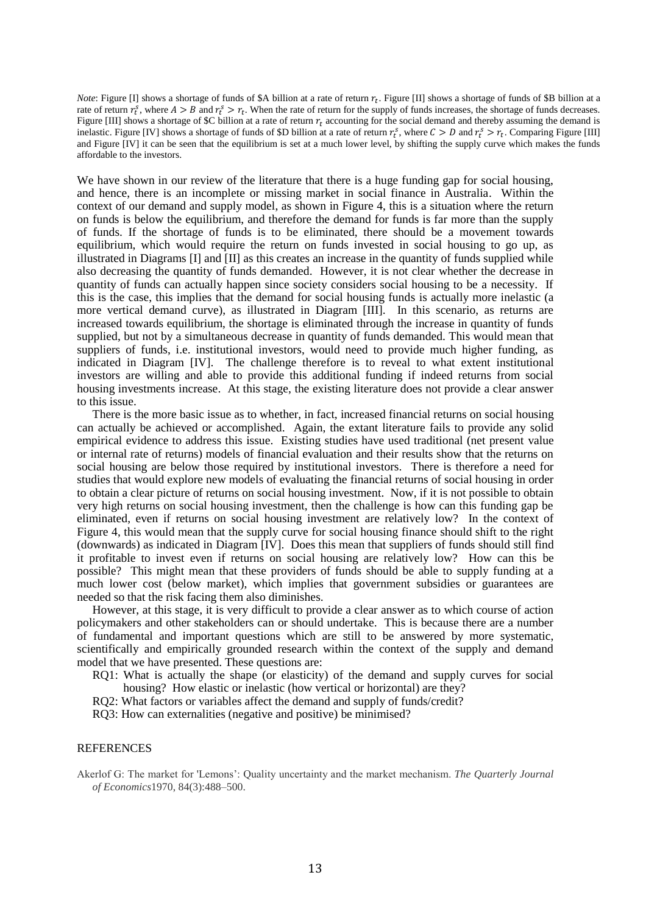*Note*: Figure [I] shows a shortage of funds of \$A billion at a rate of return  $r_t$ . Figure [II] shows a shortage of funds of \$B billion at a rate of return  $r_t^s$ , where  $A > B$  and  $r_t^s > r_t$ . When the rate of return for the supply of funds increases, the shortage of funds decreases. Figure [III] shows a shortage of \$C billion at a rate of return  $r_t$  accounting for the social demand and thereby assuming the demand is inelastic. Figure [IV] shows a shortage of funds of \$D billion at a rate of return  $r_t^s$ , where  $C > D$  and  $r_t^s > r_t$ . Comparing Figure [III] and Figure [IV] it can be seen that the equilibrium is set at a much lower level, by shifting the supply curve which makes the funds affordable to the investors.

We have shown in our review of the literature that there is a huge funding gap for social housing, and hence, there is an incomplete or missing market in social finance in Australia. Within the context of our demand and supply model, as shown in Figure 4, this is a situation where the return on funds is below the equilibrium, and therefore the demand for funds is far more than the supply of funds. If the shortage of funds is to be eliminated, there should be a movement towards equilibrium, which would require the return on funds invested in social housing to go up, as illustrated in Diagrams [I] and [II] as this creates an increase in the quantity of funds supplied while also decreasing the quantity of funds demanded. However, it is not clear whether the decrease in quantity of funds can actually happen since society considers social housing to be a necessity. If this is the case, this implies that the demand for social housing funds is actually more inelastic (a more vertical demand curve), as illustrated in Diagram [III]. In this scenario, as returns are increased towards equilibrium, the shortage is eliminated through the increase in quantity of funds supplied, but not by a simultaneous decrease in quantity of funds demanded. This would mean that suppliers of funds, i.e. institutional investors, would need to provide much higher funding, as indicated in Diagram [IV]. The challenge therefore is to reveal to what extent institutional investors are willing and able to provide this additional funding if indeed returns from social housing investments increase. At this stage, the existing literature does not provide a clear answer to this issue.

There is the more basic issue as to whether, in fact, increased financial returns on social housing can actually be achieved or accomplished. Again, the extant literature fails to provide any solid empirical evidence to address this issue. Existing studies have used traditional (net present value or internal rate of returns) models of financial evaluation and their results show that the returns on social housing are below those required by institutional investors. There is therefore a need for studies that would explore new models of evaluating the financial returns of social housing in order to obtain a clear picture of returns on social housing investment. Now, if it is not possible to obtain very high returns on social housing investment, then the challenge is how can this funding gap be eliminated, even if returns on social housing investment are relatively low? In the context of Figure 4, this would mean that the supply curve for social housing finance should shift to the right (downwards) as indicated in Diagram [IV]. Does this mean that suppliers of funds should still find it profitable to invest even if returns on social housing are relatively low? How can this be possible? This might mean that these providers of funds should be able to supply funding at a much lower cost (below market), which implies that government subsidies or guarantees are needed so that the risk facing them also diminishes.

However, at this stage, it is very difficult to provide a clear answer as to which course of action policymakers and other stakeholders can or should undertake. This is because there are a number of fundamental and important questions which are still to be answered by more systematic, scientifically and empirically grounded research within the context of the supply and demand model that we have presented. These questions are:

- RQ1: What is actually the shape (or elasticity) of the demand and supply curves for social housing? How elastic or inelastic (how vertical or horizontal) are they?
- RQ2: What factors or variables affect the demand and supply of funds/credit?
- RQ3: How can externalities (negative and positive) be minimised?

#### REFERENCES

Akerlof G: The market for 'Lemons': Quality uncertainty and the market mechanism. *The Quarterly Journal of Economics*1970, 84(3):488–500.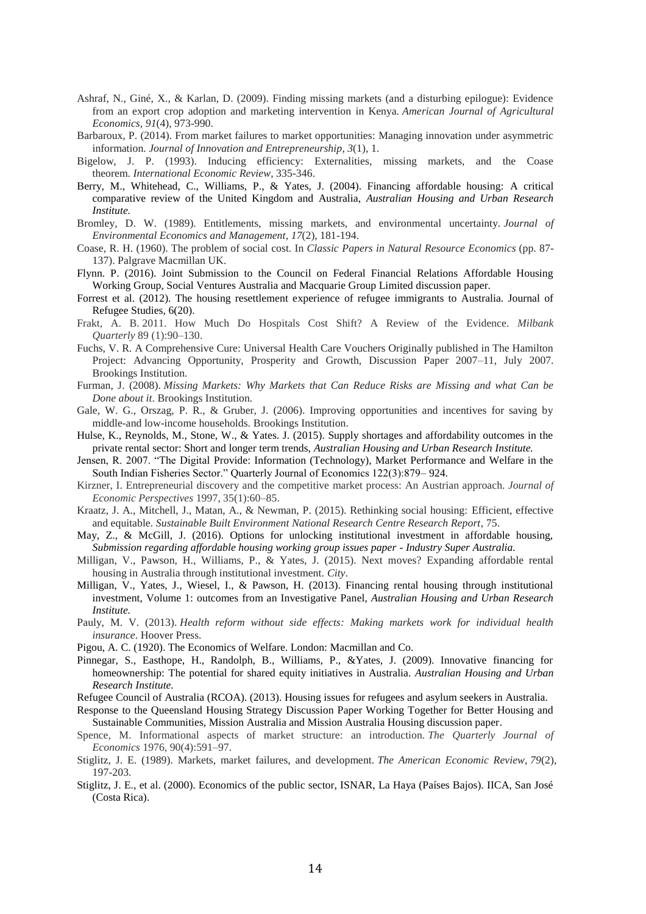- Ashraf, N., Giné, X., & Karlan, D. (2009). Finding missing markets (and a disturbing epilogue): Evidence from an export crop adoption and marketing intervention in Kenya. *American Journal of Agricultural Economics*, *91*(4), 973-990.
- Barbaroux, P. (2014). From market failures to market opportunities: Managing innovation under asymmetric information. *Journal of Innovation and Entrepreneurship*, *3*(1), 1.
- Bigelow, J. P. (1993). Inducing efficiency: Externalities, missing markets, and the Coase theorem. *International Economic Review*, 335-346.
- Berry, M., Whitehead, C., Williams, P., & Yates, J. (2004). Financing affordable housing: A critical comparative review of the United Kingdom and Australia, *Australian Housing and Urban Research Institute.*
- Bromley, D. W. (1989). Entitlements, missing markets, and environmental uncertainty. *Journal of Environmental Economics and Management*, *17*(2), 181-194.
- Coase, R. H. (1960). The problem of social cost. In *Classic Papers in Natural Resource Economics* (pp. 87- 137). Palgrave Macmillan UK.
- Flynn. P. (2016). Joint Submission to the Council on Federal Financial Relations Affordable Housing Working Group, Social Ventures Australia and Macquarie Group Limited discussion paper.
- Forrest et al. (2012). The housing resettlement experience of refugee immigrants to Australia. Journal of Refugee Studies, 6(20).
- Frakt, A. B. 2011. How Much Do Hospitals Cost Shift? A Review of the Evidence. *Milbank Quarterly* 89 (1):90–130.
- Fuchs, V. R. A Comprehensive Cure: Universal Health Care Vouchers Originally published in The Hamilton Project: Advancing Opportunity, Prosperity and Growth, Discussion Paper 2007–11, July 2007. Brookings Institution.
- Furman, J. (2008). *Missing Markets: Why Markets that Can Reduce Risks are Missing and what Can be Done about it*. Brookings Institution.
- Gale, W. G., Orszag, P. R., & Gruber, J. (2006). Improving opportunities and incentives for saving by middle-and low-income households. Brookings Institution.
- Hulse, K., Reynolds, M., Stone, W., & Yates. J. (2015). Supply shortages and affordability outcomes in the private rental sector: Short and longer term trends, *Australian Housing and Urban Research Institute.*
- Jensen, R. 2007. "The Digital Provide: Information (Technology), Market Performance and Welfare in the South Indian Fisheries Sector." Quarterly Journal of Economics 122(3):879– 924.
- Kirzner, I. Entrepreneurial discovery and the competitive market process: An Austrian approach. *Journal of Economic Perspectives* 1997, 35(1):60–85.
- Kraatz, J. A., Mitchell, J., Matan, A., & Newman, P. (2015). Rethinking social housing: Efficient, effective and equitable. *Sustainable Built Environment National Research Centre Research Report*, 75.
- May, Z., & McGill, J. (2016). Options for unlocking institutional investment in affordable housing, *Submission regarding affordable housing working group issues paper - Industry Super Australia.*
- Milligan, V., Pawson, H., Williams, P., & Yates, J. (2015). Next moves? Expanding affordable rental housing in Australia through institutional investment. *City*.
- Milligan, V., Yates, J., Wiesel, I., & Pawson, H. (2013). Financing rental housing through institutional investment, Volume 1: outcomes from an Investigative Panel, *Australian Housing and Urban Research Institute.*
- Pauly, M. V. (2013). *Health reform without side effects: Making markets work for individual health insurance*. Hoover Press.
- Pigou, A. C. (1920). The Economics of Welfare. London: Macmillan and Co.
- Pinnegar, S., Easthope, H., Randolph, B., Williams, P., &Yates, J. (2009). Innovative financing for homeownership: The potential for shared equity initiatives in Australia. *Australian Housing and Urban Research Institute.*
- Refugee Council of Australia (RCOA). (2013). Housing issues for refugees and asylum seekers in Australia.
- Response to the Queensland Housing Strategy Discussion Paper Working Together for Better Housing and Sustainable Communities, Mission Australia and Mission Australia Housing discussion paper.
- Spence, M. Informational aspects of market structure: an introduction. *The Quarterly Journal of Economics* 1976, 90(4):591–97.
- Stiglitz, J. E. (1989). Markets, market failures, and development. *The American Economic Review*, *79*(2), 197-203.
- Stiglitz, J. E., et al. (2000). Economics of the public sector, ISNAR, La Haya (Países Bajos). IICA, San José (Costa Rica).